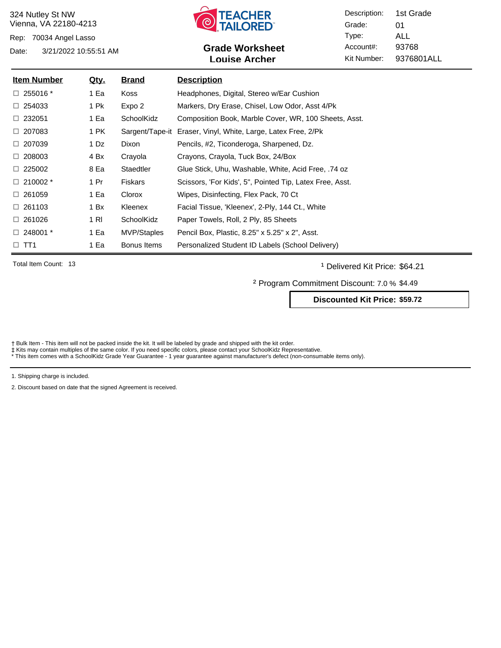Rep: 70034 Angel Lasso



### Date: 3/21/2022 10:55:51 AM **Grade Worksheet** Account#: 93768 **Louise Archer**

Description: Grade: Type: Account#: Kit Number: 01 ALL 9376801ALL 1st Grade

| <u>Item Number</u> | <u>Qty.</u> | <b>Brand</b>    | <b>Description</b>                                       |
|--------------------|-------------|-----------------|----------------------------------------------------------|
| $\Box$ 255016 $^*$ | 1 Ea        | Koss            | Headphones, Digital, Stereo w/Ear Cushion                |
| $\Box$ 254033      | 1 Pk        | Expo 2          | Markers, Dry Erase, Chisel, Low Odor, Asst 4/Pk          |
| $\Box$ 232051      | 1 Ea        | SchoolKidz      | Composition Book, Marble Cover, WR, 100 Sheets, Asst.    |
| $\Box$ 207083      | 1 PK        | Sargent/Tape-it | Eraser, Vinyl, White, Large, Latex Free, 2/Pk            |
| $\Box$ 207039      | 1 Dz        | Dixon           | Pencils, #2, Ticonderoga, Sharpened, Dz.                 |
| $\Box$ 208003      | 4 Bx        | Crayola         | Crayons, Crayola, Tuck Box, 24/Box                       |
| $\Box$ 225002      | 8 Ea        | Staedtler       | Glue Stick, Uhu, Washable, White, Acid Free, .74 oz      |
| $\Box$ 210002 $^*$ | 1 Pr        | <b>Fiskars</b>  | Scissors, 'For Kids', 5", Pointed Tip, Latex Free, Asst. |
| $\Box$ 261059      | 1 Ea        | Clorox          | Wipes, Disinfecting, Flex Pack, 70 Ct                    |
| $\Box$ 261103      | 1 Bx        | Kleenex         | Facial Tissue, 'Kleenex', 2-Ply, 144 Ct., White          |
| $\Box$ 261026      | 1 RI        | SchoolKidz      | Paper Towels, Roll, 2 Ply, 85 Sheets                     |
| $\Box$ 248001 $^*$ | 1 Ea        | MVP/Staples     | Pencil Box, Plastic, 8.25" x 5.25" x 2", Asst.           |
| $\Box$ TT1         | 1 Ea        | Bonus Items     | Personalized Student ID Labels (School Delivery)         |

Total Item Count: 13 **and Transfer Count: 13** Delivered Kit Price: \$64.21

² Program Commitment Discount: 7.0 % \$4.49

**Discounted Kit Price: \$59.72**

† Bulk Item - This item will not be packed inside the kit. It will be labeled by grade and shipped with the kit order.<br>‡ Kits may contain multiples of the same color. If you need specific colors, please contact your School

1. Shipping charge is included.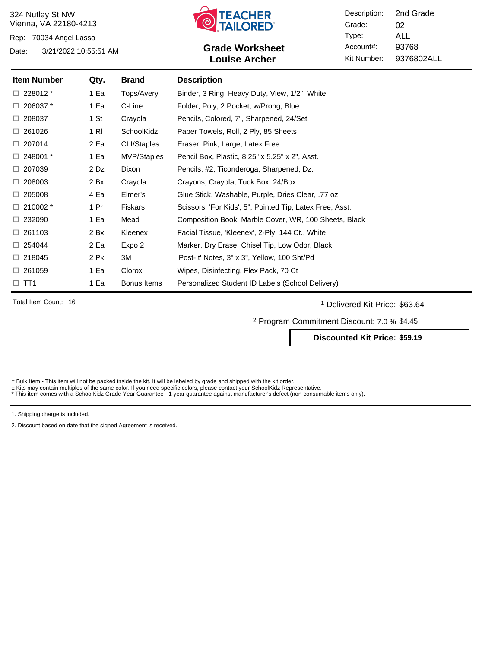Rep: 70034 Angel Lasso



## Date: 3/21/2022 10:55:51 AM **Grade Worksheet** Account#: 93768 **Louise Archer**

Description: Grade: Type: Account#: Kit Number: 02 ALL 9376802ALL 2nd Grade

| <b>Item Number</b> | <u>Qty.</u> | <u>Brand</u>   | <b>Description</b>                                       |
|--------------------|-------------|----------------|----------------------------------------------------------|
| $\Box$ 228012 $^*$ | 1 Ea        | Tops/Avery     | Binder, 3 Ring, Heavy Duty, View, 1/2", White            |
| $\Box$ 206037 $*$  | 1 Ea        | C-Line         | Folder, Poly, 2 Pocket, w/Prong, Blue                    |
| $\Box$ 208037      | 1 St        | Crayola        | Pencils, Colored, 7", Sharpened, 24/Set                  |
| $\Box$ 261026      | 1 RI        | SchoolKidz     | Paper Towels, Roll, 2 Ply, 85 Sheets                     |
| $\Box$ 207014      | 2 Ea        | CLI/Staples    | Eraser, Pink, Large, Latex Free                          |
| $\Box$ 248001 $^*$ | 1 Ea        | MVP/Staples    | Pencil Box, Plastic, 8.25" x 5.25" x 2", Asst.           |
| $\Box$ 207039      | 2 Dz        | Dixon          | Pencils, #2, Ticonderoga, Sharpened, Dz.                 |
| $\Box$ 208003      | 2 Bx        | Crayola        | Crayons, Crayola, Tuck Box, 24/Box                       |
| $\Box$ 205008      | 4 Ea        | Elmer's        | Glue Stick, Washable, Purple, Dries Clear, .77 oz.       |
| $\Box$ 210002 $^*$ | 1 Pr        | <b>Fiskars</b> | Scissors, 'For Kids', 5", Pointed Tip, Latex Free, Asst. |
| $\Box$ 232090      | 1 Ea        | Mead           | Composition Book, Marble Cover, WR, 100 Sheets, Black    |
| $\Box$ 261103      | 2 Bx        | Kleenex        | Facial Tissue, 'Kleenex', 2-Ply, 144 Ct., White          |
| $\Box$ 254044      | 2 Ea        | Expo 2         | Marker, Dry Erase, Chisel Tip, Low Odor, Black           |
| $\Box$ 218045      | 2 Pk        | 3M             | 'Post-It' Notes, 3" x 3", Yellow, 100 Sht/Pd             |
| $\Box$ 261059      | 1 Ea        | Clorox         | Wipes, Disinfecting, Flex Pack, 70 Ct                    |
| $\Box$ TT1         | 1 Ea        | Bonus Items    | Personalized Student ID Labels (School Delivery)         |

Total Item Count: 16 **and Total Item Count:** 16 **and Total Item Count:** 16 **and Total Item Count:** 16 **and Total Item Count:** 16

² Program Commitment Discount: 7.0 % \$4.45

**Discounted Kit Price: \$59.19**

† Bulk Item - This item will not be packed inside the kit. It will be labeled by grade and shipped with the kit order.<br>‡ Kits may contain multiples of the same color. If you need specific colors, please contact your School

1. Shipping charge is included.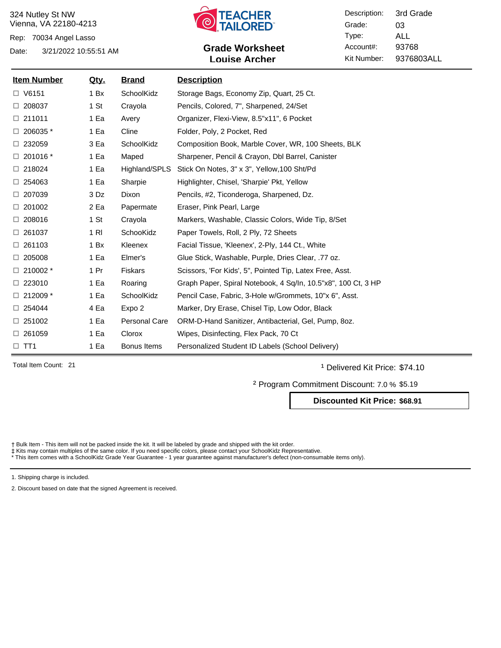Rep: 70034 Angel Lasso



# Date: 3/21/2022 10:55:51 AM **Grade Worksheet** Account#: 93768 **Louise Archer**

Description: Grade: Type: Account#: Kit Number: 03 ALL 9376803ALL 3rd Grade

| <b>Item Number</b> | <u>Qty.</u> | <b>Brand</b>         | <b>Description</b>                                            |
|--------------------|-------------|----------------------|---------------------------------------------------------------|
| $\Box$ V6151       | 1 Bx        | SchoolKidz           | Storage Bags, Economy Zip, Quart, 25 Ct.                      |
| $\Box$ 208037      | 1 St        | Crayola              | Pencils, Colored, 7", Sharpened, 24/Set                       |
| □ 211011           | 1 Ea        | Avery                | Organizer, Flexi-View, 8.5"x11", 6 Pocket                     |
| $\Box$ 206035 $*$  | 1 Ea        | Cline                | Folder, Poly, 2 Pocket, Red                                   |
| $\Box$ 232059      | 3 Ea        | SchoolKidz           | Composition Book, Marble Cover, WR, 100 Sheets, BLK           |
| $\Box$ 201016 $*$  | 1 Ea        | Maped                | Sharpener, Pencil & Crayon, Dbl Barrel, Canister              |
| $\Box$ 218024      | 1 Ea        | Highland/SPLS        | Stick On Notes, 3" x 3", Yellow, 100 Sht/Pd                   |
| $\Box$ 254063      | 1 Ea        | Sharpie              | Highlighter, Chisel, 'Sharpie' Pkt, Yellow                    |
| □ 207039           | 3 Dz        | <b>Dixon</b>         | Pencils, #2, Ticonderoga, Sharpened, Dz.                      |
| $\Box$ 201002      | 2 Ea        | Papermate            | Eraser, Pink Pearl, Large                                     |
| $\Box$ 208016      | 1 St        | Crayola              | Markers, Washable, Classic Colors, Wide Tip, 8/Set            |
| $\Box$ 261037      | $1$ RI      | SchooKidz            | Paper Towels, Roll, 2 Ply, 72 Sheets                          |
| $\Box$ 261103      | 1 Bx        | Kleenex              | Facial Tissue, 'Kleenex', 2-Ply, 144 Ct., White               |
| $\Box$ 205008      | 1 Ea        | Elmer's              | Glue Stick, Washable, Purple, Dries Clear, .77 oz.            |
| $\Box$ 210002 $*$  | 1 Pr        | <b>Fiskars</b>       | Scissors, 'For Kids', 5", Pointed Tip, Latex Free, Asst.      |
| $\Box$ 223010      | 1 Ea        | Roaring              | Graph Paper, Spiral Notebook, 4 Sq/In, 10.5"x8", 100 Ct, 3 HP |
| $\Box$ 212009 *    | 1 Ea        | SchoolKidz           | Pencil Case, Fabric, 3-Hole w/Grommets, 10"x 6", Asst.        |
| $\Box$ 254044      | 4 Ea        | Expo 2               | Marker, Dry Erase, Chisel Tip, Low Odor, Black                |
| $\Box$ 251002      | 1 Ea        | <b>Personal Care</b> | ORM-D-Hand Sanitizer, Antibacterial, Gel, Pump, 80z.          |
| □ 261059           | 1 Ea        | Clorox               | Wipes, Disinfecting, Flex Pack, 70 Ct                         |
| $\square$ TT1      | 1 Ea        | Bonus Items          | Personalized Student ID Labels (School Delivery)              |

Total Item Count: 21 **Delivered Kit Price: \$74.10** 

² Program Commitment Discount: 7.0 % \$5.19

**Discounted Kit Price: \$68.91**

† Bulk Item - This item will not be packed inside the kit. It will be labeled by grade and shipped with the kit order.<br>‡ Kits may contain multiples of the same color. If you need specific colors, please contact your School

1. Shipping charge is included.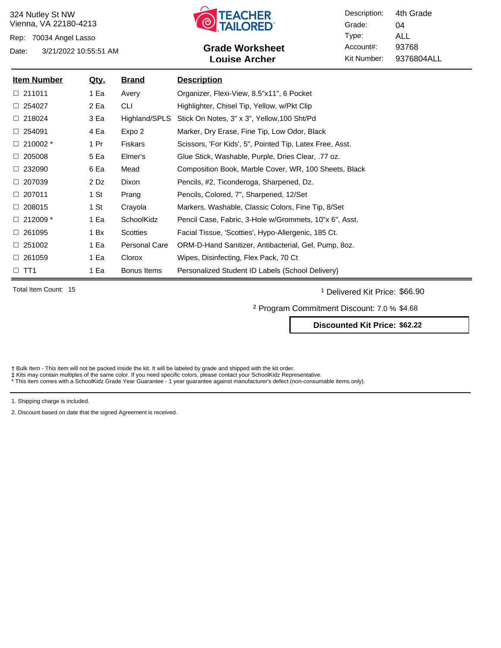Rep: 70034 Angel Lasso



## Date: 3/21/2022 10:55:51 AM **Grade Worksheet** Account#: 93768 **Louise Archer**

Description: Grade: Type: Account#: Kit Number: 04 ALL 9376804ALL 4th Grade

| <u>Item Number</u> | <u>Qty.</u> | <u>Brand</u>         | <b>Description</b>                                       |
|--------------------|-------------|----------------------|----------------------------------------------------------|
| $\Box$ 211011      | 1 Ea        | Avery                | Organizer, Flexi-View, 8.5"x11", 6 Pocket                |
| $\Box$ 254027      | 2 Ea        | CLI                  | Highlighter, Chisel Tip, Yellow, w/Pkt Clip              |
| $\Box$ 218024      | 3 Ea        | Highland/SPLS        | Stick On Notes, 3" x 3", Yellow, 100 Sht/Pd              |
| $\Box$ 254091      | 4 Ea        | Expo 2               | Marker, Dry Erase, Fine Tip, Low Odor, Black             |
| $\Box$ 210002 $^*$ | 1 Pr        | <b>Fiskars</b>       | Scissors, 'For Kids', 5", Pointed Tip, Latex Free, Asst. |
| $\Box$ 205008      | 5 Ea        | Elmer's              | Glue Stick, Washable, Purple, Dries Clear, .77 oz.       |
| $\Box$ 232090      | 6 Ea        | Mead                 | Composition Book, Marble Cover, WR, 100 Sheets, Black    |
| $\Box$ 207039      | 2 Dz        | Dixon                | Pencils, #2, Ticonderoga, Sharpened, Dz.                 |
| $\Box$ 207011      | 1 St        | Prang                | Pencils, Colored, 7", Sharpened, 12/Set                  |
| $\Box$ 208015      | 1 St        | Crayola              | Markers, Washable, Classic Colors, Fine Tip, 8/Set       |
| $\Box$ 212009 *    | 1 Ea        | SchoolKidz           | Pencil Case, Fabric, 3-Hole w/Grommets, 10"x 6", Asst.   |
| $\Box$ 261095      | 1 Bx        | Scotties             | Facial Tissue, 'Scotties', Hypo-Allergenic, 185 Ct.      |
| $\Box$ 251002      | 1 Ea        | <b>Personal Care</b> | ORM-D-Hand Sanitizer, Antibacterial, Gel, Pump, 80z.     |
| $\Box$ 261059      | 1 Ea        | Clorox               | Wipes, Disinfecting, Flex Pack, 70 Ct                    |
| $\Box$ TT1         | 1 Ea        | Bonus Items          | Personalized Student ID Labels (School Delivery)         |

Total Item Count: 15 **and 1** Delivered Kit Price: \$66.90

² Program Commitment Discount: 7.0 % \$4.68

**Discounted Kit Price: \$62.22**

† Bulk Item - This item will not be packed inside the kit. It will be labeled by grade and shipped with the kit order.<br>‡ Kits may contain multiples of the same color. If you need specific colors, please contact your School

1. Shipping charge is included.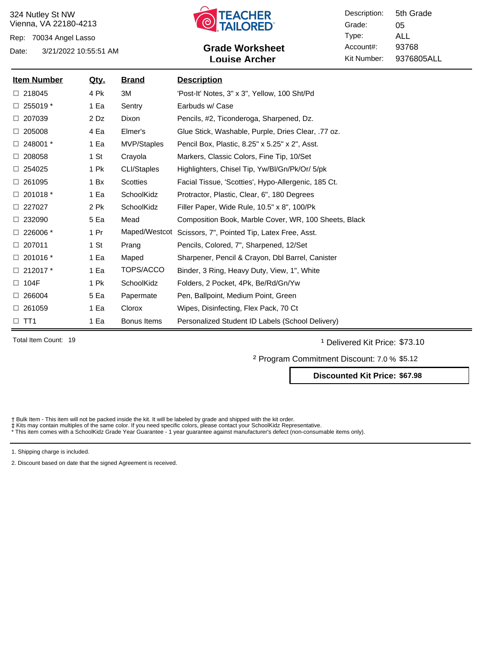Rep: 70034 Angel Lasso



### Date: 3/21/2022 10:55:51 AM **Grade Worksheet** Account#: 93768 **Louise Archer**

Description: Grade: Type: Account#: Kit Number: 05 ALL 9376805ALL 5th Grade

| <b>Item Number</b> | <u>Qty.</u>      | <b>Brand</b>       | <b>Description</b>                                    |
|--------------------|------------------|--------------------|-------------------------------------------------------|
| $\Box$ 218045      | 4 Pk             | ЗM                 | 'Post-It' Notes, 3" x 3", Yellow, 100 Sht/Pd          |
| 255019 *<br>□.     | 1 Ea             | Sentry             | Earbuds w/ Case                                       |
| $\Box$ 207039      | $2\overline{D}z$ | <b>Dixon</b>       | Pencils, #2, Ticonderoga, Sharpened, Dz.              |
| 205008             | 4 Ea             | Elmer's            | Glue Stick, Washable, Purple, Dries Clear, .77 oz.    |
| $\Box$ 248001 $^*$ | 1 Ea             | MVP/Staples        | Pencil Box, Plastic, 8.25" x 5.25" x 2", Asst.        |
| $\Box$ 208058      | 1 St             | Crayola            | Markers, Classic Colors, Fine Tip, 10/Set             |
| $\Box$ 254025      | 1 Pk             | <b>CLI/Staples</b> | Highlighters, Chisel Tip, Yw/Bl/Gn/Pk/Or/ 5/pk        |
| $\Box$ 261095      | 1 Bx             | <b>Scotties</b>    | Facial Tissue, 'Scotties', Hypo-Allergenic, 185 Ct.   |
| $\Box$ 201018 $^*$ | 1 Ea             | SchoolKidz         | Protractor, Plastic, Clear, 6", 180 Degrees           |
| $\Box$ 227027      | 2 Pk             | SchoolKidz         | Filler Paper, Wide Rule, 10.5" x 8", 100/Pk           |
| $\Box$ 232090      | 5 Ea             | Mead               | Composition Book, Marble Cover, WR, 100 Sheets, Black |
| $\Box$ 226006 $*$  | 1 Pr             | Maped/Westcot      | Scissors, 7", Pointed Tip, Latex Free, Asst.          |
| $\Box$ 207011      | 1 St             | Prang              | Pencils, Colored, 7", Sharpened, 12/Set               |
| $\Box$ 201016 $*$  | 1 Ea             | Maped              | Sharpener, Pencil & Crayon, Dbl Barrel, Canister      |
| $\Box$ 212017 $^*$ | 1 Ea             | TOPS/ACCO          | Binder, 3 Ring, Heavy Duty, View, 1", White           |
| 104F<br>□          | 1 Pk             | SchoolKidz         | Folders, 2 Pocket, 4Pk, Be/Rd/Gn/Yw                   |
| $\Box$ 266004      | 5 Ea             | Papermate          | Pen, Ballpoint, Medium Point, Green                   |
| $\Box$ 261059      | 1 Ea             | Clorox             | Wipes, Disinfecting, Flex Pack, 70 Ct                 |
| $\Box$ TT1         | 1 Ea             | Bonus Items        | Personalized Student ID Labels (School Delivery)      |

Total Item Count: 19 **and Transfer Count:** 19 **and Transfer Count:** 19 **and Transfer Count:** 19 **and Transfer Count:** 19 **and Transfer Count:** 19 **and Transfer Count:** 19 **and Transfer Count:** 19 **and Transfer Count:** 19

² Program Commitment Discount: 7.0 % \$5.12

**Discounted Kit Price: \$67.98**

Bulk Item - This item will not be packed inside the kit. It will be labeled by grade and shipped with the kit order.

‡ Kits may contain multiples of the same color. If you need specific colors, please contact your SchoolKidz Representative.<br>\* This item comes with a SchoolKidz Grade Year Guarantee - 1 year guarantee against manufacturer's

1. Shipping charge is included.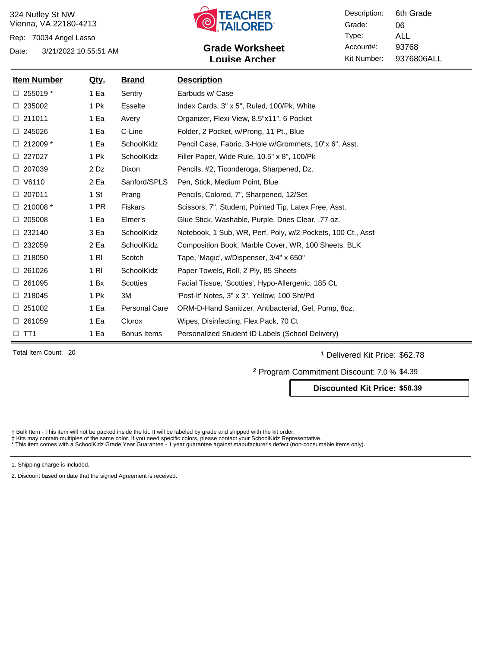Rep: 70034 Angel Lasso



# Date: 3/21/2022 10:55:51 AM **Grade Worksheet** Account#: 93768 **Louise Archer**

Description: Grade: Type: Account#: Kit Number: 06 ALL 9376806ALL 6th Grade

| <u>Item Number</u> | <u>Qty.</u>      | <b>Brand</b>         | <b>Description</b>                                          |
|--------------------|------------------|----------------------|-------------------------------------------------------------|
| $\Box$ 255019 $*$  | 1 Ea             | Sentry               | Earbuds w/ Case                                             |
| $\Box$ 235002      | 1 Pk             | <b>Esselte</b>       | Index Cards, 3" x 5", Ruled, 100/Pk, White                  |
| □ 211011           | 1 Ea             | Avery                | Organizer, Flexi-View, 8.5"x11", 6 Pocket                   |
| $\Box$ 245026      | 1 Ea             | C-Line               | Folder, 2 Pocket, w/Prong, 11 Pt., Blue                     |
| $\Box$ 212009 *    | 1 Ea             | SchoolKidz           | Pencil Case, Fabric, 3-Hole w/Grommets, 10"x 6", Asst.      |
| $\Box$ 227027      | 1 Pk             | SchoolKidz           | Filler Paper, Wide Rule, 10.5" x 8", 100/Pk                 |
| $\Box$ 207039      | 2 Dz             | <b>Dixon</b>         | Pencils, #2, Ticonderoga, Sharpened, Dz.                    |
| $\Box$ V6110       | 2 Ea             | Sanford/SPLS         | Pen, Stick, Medium Point, Blue                              |
| $\Box$ 207011      | 1 S <sub>t</sub> | Prang                | Pencils, Colored, 7", Sharpened, 12/Set                     |
| $\Box$ 210008 $*$  | 1 PR             | <b>Fiskars</b>       | Scissors, 7", Student, Pointed Tip, Latex Free, Asst.       |
| $\Box$ 205008      | 1 Ea             | Elmer's              | Glue Stick, Washable, Purple, Dries Clear, .77 oz.          |
| $\Box$ 232140      | 3 Ea             | SchoolKidz           | Notebook, 1 Sub, WR, Perf, Poly, w/2 Pockets, 100 Ct., Asst |
| $\Box$ 232059      | 2 Ea             | SchoolKidz           | Composition Book, Marble Cover, WR, 100 Sheets, BLK         |
| $\Box$ 218050      | $1$ RI           | Scotch               | Tape, 'Magic', w/Dispenser, 3/4" x 650"                     |
| $\Box$ 261026      | 1 RI             | SchoolKidz           | Paper Towels, Roll, 2 Ply, 85 Sheets                        |
| $\Box$ 261095      | 1 Bx             | <b>Scotties</b>      | Facial Tissue, 'Scotties', Hypo-Allergenic, 185 Ct.         |
| $\Box$ 218045      | 1 Pk             | 3M                   | 'Post-It' Notes, 3" x 3", Yellow, 100 Sht/Pd                |
| $\Box$ 251002      | 1 Ea             | <b>Personal Care</b> | ORM-D-Hand Sanitizer, Antibacterial, Gel, Pump, 80z.        |
| $\Box$ 261059      | 1 Ea             | Clorox               | Wipes, Disinfecting, Flex Pack, 70 Ct                       |
| $\Box$ TT1         | 1 Ea             | Bonus Items          | Personalized Student ID Labels (School Delivery)            |

Total Item Count: 20 **and 20** and 20 and 20 and 20 and 20 and 20 and 20 and 20 and 20 and 20 and 20 and 20 and 20 and 20 and 20 and 20 and 20 and 20 and 20 and 20 and 20 and 20 and 20 and 20 and 20 and 20 and 20 and 20 and

² Program Commitment Discount: 7.0 % \$4.39

**Discounted Kit Price: \$58.39**

Bulk Item - This item will not be packed inside the kit. It will be labeled by grade and shipped with the kit order.

‡ Kits may contain multiples of the same color. If you need specific colors, please contact your SchoolKidz Representative.<br>\* This item comes with a SchoolKidz Grade Year Guarantee - 1 year guarantee against manufacturer's

1. Shipping charge is included.